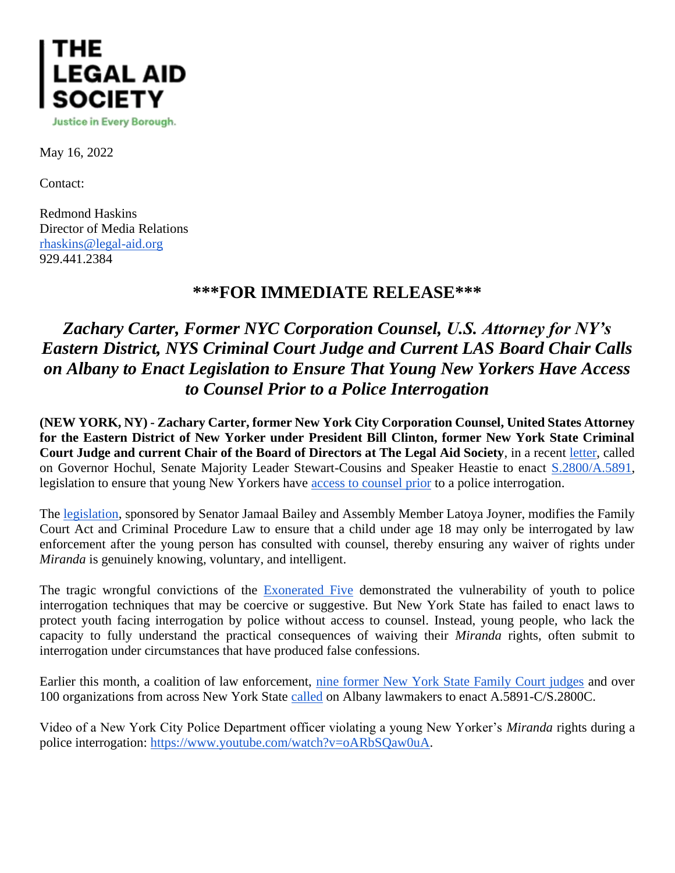

May 16, 2022

Contact:

Redmond Haskins Director of Media Relations [rhaskins@legal-aid.org](mailto:rhaskins@legal-aid.org) 929.441.2384

## **\*\*\*FOR IMMEDIATE RELEASE\*\*\***

## *Zachary Carter, Former NYC Corporation Counsel, U.S. Attorney for NY's Eastern District, NYS Criminal Court Judge and Current LAS Board Chair Calls on Albany to Enact Legislation to Ensure That Young New Yorkers Have Access to Counsel Prior to a Police Interrogation*

**(NEW YORK, NY) - Zachary Carter, former New York City Corporation Counsel, United States Attorney for the Eastern District of New Yorker under President Bill Clinton, former New York State Criminal Court Judge and current Chair of the Board of Directors at The Legal Aid Society**, in a recent [letter,](https://nam10.safelinks.protection.outlook.com/?url=https%3A%2F%2Flegalaidnyc.org%2Fwp-content%2Fuploads%2F2022%2F05%2FZCarter-Letter-in-Support-of-Youth-Interrogation-Bill-A5891C-S2800C_redacted.pdf&data=05%7C01%7CRHaskins%40legal-aid.org%7Ca4defc2ca6d242babe3c08da36bd3b0a%7Cf226ccf384ef49ca9b0a9b565b2f0f06%7C0%7C0%7C637882483611604554%7CUnknown%7CTWFpbGZsb3d8eyJWIjoiMC4wLjAwMDAiLCJQIjoiV2luMzIiLCJBTiI6Ik1haWwiLCJXVCI6Mn0%3D%7C3000%7C%7C%7C&sdata=YVYVYhLO53On16gE%2F6JN%2FTHag0PMjSmMG%2BnNL3c0MxI%3D&reserved=0) called on Governor Hochul, Senate Majority Leader Stewart-Cousins and Speaker Heastie to enact [S.2800/A.5891,](https://nam10.safelinks.protection.outlook.com/?url=https%3A%2F%2Fwww.nysenate.gov%2Flegislation%2Fbills%2F2021%2FS2800&data=05%7C01%7CRHaskins%40legal-aid.org%7Ca4defc2ca6d242babe3c08da36bd3b0a%7Cf226ccf384ef49ca9b0a9b565b2f0f06%7C0%7C0%7C637882483611604554%7CUnknown%7CTWFpbGZsb3d8eyJWIjoiMC4wLjAwMDAiLCJQIjoiV2luMzIiLCJBTiI6Ik1haWwiLCJXVCI6Mn0%3D%7C3000%7C%7C%7C&sdata=56OzesRM5MYSZwkY2MyPHS9%2B3m6%2FGbncGxeWI%2FnjKSk%3D&reserved=0) legislation to ensure that young New Yorkers have [access to counsel prior](https://nam10.safelinks.protection.outlook.com/?url=https%3A%2F%2Fwww.nydailynews.com%2Fopinion%2Fny-oped-teenagers-lawyers-20220513-vf4fqoaxebdahpermayej7qahm-story.html&data=05%7C01%7CRHaskins%40legal-aid.org%7Ca4defc2ca6d242babe3c08da36bd3b0a%7Cf226ccf384ef49ca9b0a9b565b2f0f06%7C0%7C0%7C637882483611604554%7CUnknown%7CTWFpbGZsb3d8eyJWIjoiMC4wLjAwMDAiLCJQIjoiV2luMzIiLCJBTiI6Ik1haWwiLCJXVCI6Mn0%3D%7C3000%7C%7C%7C&sdata=GYv3Q3H19FdjdjGbaS7Ay9IFimewwc2wTtLbpfQ2J2I%3D&reserved=0) to a police interrogation.

The [legislation,](https://nam10.safelinks.protection.outlook.com/?url=https%3A%2F%2Fwww.thecity.nyc%2F2021%2F3%2F3%2F22312705%2Fstate-bill-to-give-new-york-kids-more-miranda-protection-nypd&data=05%7C01%7CRHaskins%40legal-aid.org%7Ca4defc2ca6d242babe3c08da36bd3b0a%7Cf226ccf384ef49ca9b0a9b565b2f0f06%7C0%7C0%7C637882483611604554%7CUnknown%7CTWFpbGZsb3d8eyJWIjoiMC4wLjAwMDAiLCJQIjoiV2luMzIiLCJBTiI6Ik1haWwiLCJXVCI6Mn0%3D%7C3000%7C%7C%7C&sdata=qf66VP7NFtOfJ78%2FlqfouOkSIlkKWnpce7ELhfyRAjE%3D&reserved=0) sponsored by Senator Jamaal Bailey and Assembly Member Latoya Joyner, modifies the Family Court Act and Criminal Procedure Law to ensure that a child under age 18 may only be interrogated by law enforcement after the young person has consulted with counsel, thereby ensuring any waiver of rights under *Miranda* is genuinely knowing, voluntary, and intelligent.

The tragic wrongful convictions of the [Exonerated Five](https://nam10.safelinks.protection.outlook.com/?url=https%3A%2F%2Fwww.nydailynews.com%2Fnews%2Fpolitics%2Fny-central-park-five-innocence-project-deceptive-interrogation-tactics-20191028-v4ldgigwknganjno7p6okng2oa-story.html&data=05%7C01%7CRHaskins%40legal-aid.org%7Ca4defc2ca6d242babe3c08da36bd3b0a%7Cf226ccf384ef49ca9b0a9b565b2f0f06%7C0%7C0%7C637882483611604554%7CUnknown%7CTWFpbGZsb3d8eyJWIjoiMC4wLjAwMDAiLCJQIjoiV2luMzIiLCJBTiI6Ik1haWwiLCJXVCI6Mn0%3D%7C3000%7C%7C%7C&sdata=ZKkYPP5zZmTKlw6zhBO2vuUTGXoMlkjKfO3ep8Z6WXs%3D&reserved=0) demonstrated the vulnerability of youth to police interrogation techniques that may be coercive or suggestive. But New York State has failed to enact laws to protect youth facing interrogation by police without access to counsel. Instead, young people, who lack the capacity to fully understand the practical consequences of waiving their *Miranda* rights, often submit to interrogation under circumstances that have produced false confessions.

Earlier this month, a coalition of law enforcement, [nine former New York State Family Court judges](https://nam10.safelinks.protection.outlook.com/?url=https%3A%2F%2Fwww.nysfocus.com%2F2022%2F05%2F06%2Fpolice-interrogation-of-minors%2F&data=05%7C01%7CRHaskins%40legal-aid.org%7Ca4defc2ca6d242babe3c08da36bd3b0a%7Cf226ccf384ef49ca9b0a9b565b2f0f06%7C0%7C0%7C637882483611604554%7CUnknown%7CTWFpbGZsb3d8eyJWIjoiMC4wLjAwMDAiLCJQIjoiV2luMzIiLCJBTiI6Ik1haWwiLCJXVCI6Mn0%3D%7C3000%7C%7C%7C&sdata=e2w%2FJ8QmYqzhlfBDKxcrDao72V%2FcwvRTjcYWE19XBG8%3D&reserved=0) and over 100 organizations from across New York State [called](https://nam10.safelinks.protection.outlook.com/?url=https%3A%2F%2Flegalaidnyc.org%2Fwp-content%2Fuploads%2F2022%2F05%2F05-06-22-Legislation-to-Ensure-that-Young-New-Yorkers-Have-Counsel-Prior-to-a-Police-Interrogation.pdf&data=05%7C01%7CRHaskins%40legal-aid.org%7Ca4defc2ca6d242babe3c08da36bd3b0a%7Cf226ccf384ef49ca9b0a9b565b2f0f06%7C0%7C0%7C637882483611604554%7CUnknown%7CTWFpbGZsb3d8eyJWIjoiMC4wLjAwMDAiLCJQIjoiV2luMzIiLCJBTiI6Ik1haWwiLCJXVCI6Mn0%3D%7C3000%7C%7C%7C&sdata=SiP6oTc5JEoJsNgDhnD6th%2B89dnWtUwRT6Luon%2FFcEg%3D&reserved=0) on Albany lawmakers to enact A.5891-C/S.2800C.

Video of a New York City Police Department officer violating a young New Yorker's *Miranda* rights during a police interrogation: [https://www.youtube.com/watch?v=oARbSQaw0uA.](https://nam10.safelinks.protection.outlook.com/?url=https%3A%2F%2Fwww.youtube.com%2Fwatch%3Fv%3DoARbSQaw0uA&data=05%7C01%7CRHaskins%40legal-aid.org%7Ca4defc2ca6d242babe3c08da36bd3b0a%7Cf226ccf384ef49ca9b0a9b565b2f0f06%7C0%7C0%7C637882483611604554%7CUnknown%7CTWFpbGZsb3d8eyJWIjoiMC4wLjAwMDAiLCJQIjoiV2luMzIiLCJBTiI6Ik1haWwiLCJXVCI6Mn0%3D%7C3000%7C%7C%7C&sdata=YWmcxd6k4LQQN6p1UqzF8Ne%2FKZHru7gT18sD4KwXY0k%3D&reserved=0)